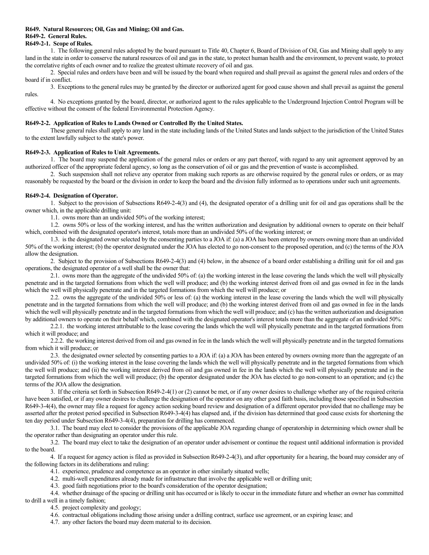### **R649. Natural Resources; Oil, Gas and Mining; Oil and Gas. R649-2. General Rules.**

# **R649-2-1. Scope of Rules.**

1. The following general rules adopted by the board pursuant to Title 40, Chapter 6, Board of Division of Oil, Gas and Mining shall apply to any land in the state in order to conserve the natural resources of oil and gas in the state, to protect human health and the environment, to prevent waste, to protect the correlative rights of each owner and to realize the greatest ultimate recovery of oil and gas.

2. Special rules and orders have been and will be issued by the board when required and shall prevail as against the general rules and orders of the board if in conflict.

3. Exceptions to the general rules may be granted by the director or authorized agent for good cause shown and shall prevail as against the general rules.

4. No exceptions granted by the board, director, or authorized agent to the rules applicable to the Underground Injection Control Program will be effective without the consent of the federal Environmental Protection Agency.

# **R649-2-2. Application of Rules to Lands Owned or Controlled By the United States.**

These general rules shall apply to any land in the state including lands of the United States and lands subject to the jurisdiction of the United States to the extent lawfully subject to the state's power.

# **R649-2-3. Application of Rules to Unit Agreements.**

1. The board may suspend the application of the general rules or orders or any part thereof, with regard to any unit agreement approved by an authorized officer of the appropriate federal agency, so long as the conservation of oil or gas and the prevention of waste is accomplished.

2. Such suspension shall not relieve any operator from making such reports as are otherwise required by the general rules or orders, or as may reasonably be requested by the board or the division in order to keep the board and the division fully informed as to operations under such unit agreements.

# **R649-2-4. Designation of Operator.**

1. Subject to the provision of Subsections R649-2-4(3) and (4), the designated operator of a drilling unit for oil and gas operations shall be the owner which, in the applicable drilling unit:

1.1. owns more than an undivided 50% of the working interest;

1.2. owns 50% or less of the working interest, and has the written authorization and designation by additional owners to operate on their behalf which, combined with the designated operator's interest, totals more than an undivided 50% of the working interest; or

1.3. is the designated owner selected by the consenting parties to a JOA if: (a) a JOA has been entered by owners owning more than an undivided 50% of the working interest; (b) the operator designated under the JOA has elected to go non-consent to the proposed operation, and (c) the terms of the JOA allow the designation.

2. Subject to the provision of Subsections R649-2-4(3) and (4) below, in the absence of a board order establishing a drilling unit for oil and gas operations, the designated operator of a well shall be the owner that:

2.1. owns more than the aggregate of the undivided 50% of: (a) the working interest in the lease covering the lands which the well will physically penetrate and in the targeted formations from which the well will produce; and (b) the working interest derived from oil and gas owned in fee in the lands which the well will physically penetrate and in the targeted formations from which the well will produce; or

2.2. owns the aggregate of the undivided 50% or less of: (a) the working interest in the lease covering the lands which the well will physically penetrate and in the targeted formations from which the well will produce; and (b) the working interest derived from oil and gas owned in fee in the lands which the well will physically penetrate and in the targeted formations from which the well will produce; and (c) has the written authorization and designation by additional owners to operate on their behalf which, combined with the designated operator's interest totals more than the aggregate of an undivided 50%:

2.2.1. the working interest attributable to the lease covering the lands which the well will physically penetrate and in the targeted formations from which it will produce; and

2.2.2. the working interest derived from oil and gas owned in fee in the lands which the well will physically penetrate and in the targeted formations from which it will produce; or

2.3. the designated owner selected by consenting parties to a JOA if: (a) a JOA has been entered by owners owning more than the aggregate of an undivided 50% of: (i) the working interest in the lease covering the lands which the well will physically penetrate and in the targeted formations from which the well will produce; and (ii) the working interest derived from oil and gas owned in fee in the lands which the well will physically penetrate and in the targeted formations from which the well will produce; (b) the operator designated under the JOA has elected to go non-consent to an operation; and (c) the terms of the JOA allow the designation.

3. If the criteria set forth in Subsection R649-2-4(1) or (2) cannot be met, or if any owner desires to challenge whether any of the required criteria have been satisfied, or if any owner desires to challenge the designation of the operator on any other good faith basis, including those specified in Subsection R649-3-4(4), the owner may file a request for agency action seeking board review and designation of a different operator provided that no challenge may be asserted after the protest period specified in Subsection R649-3-4(4) has elapsed and, if the division has determined that good cause exists for shortening the ten day period under Subsection R649-3-4(4), preparation for drilling has commenced.

3.1. The board may elect to consider the provisions of the applicable JOA regarding change of operatorship in determining which owner shall be the operator rather than designating an operator under this rule.

3.2. The board may elect to take the designation of an operator under advisement or continue the request until additional information is provided to the board.

4. If a request for agency action is filed as provided in Subsection R649-2-4(3), and after opportunity for a hearing, the board may consider any of the following factors in its deliberations and ruling:

4.1. experience, prudence and competence as an operator in other similarly situated wells;

4.2. multi-well expenditures already made for infrastructure that involve the applicable well or drilling unit;

4.3. good faith negotiations prior to the board's consideration of the operator designation;

4.4. whether drainage of the spacing or drilling unit has occurred or is likely to occur in the immediate future and whether an owner has committed to drill a well in a timely fashion;

4.5. project complexity and geology;

4.6. contractual obligations including those arising under a drilling contract, surface use agreement, or an expiring lease; and

4.7. any other factors the board may deem material to its decision.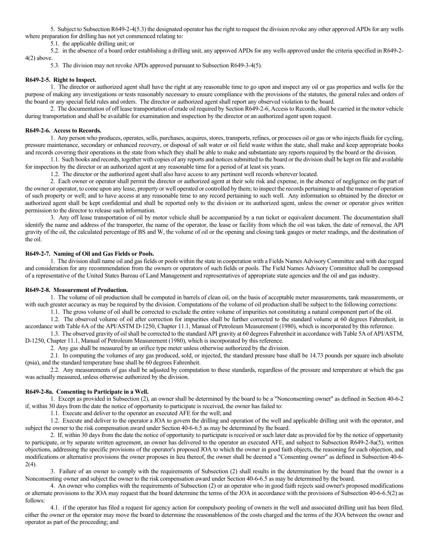5. Subject to Subsection R649-2-4(5.3) the designated operator has the right to request the division revoke any other approved APDs for any wells where preparation for drilling has not yet commenced relating to:

5.1. the applicable drilling unit; or

5.2. in the absence of a board order establishing a drilling unit, any approved APDs for any wells approved under the criteria specified in R649-2- 4(2) above.

5.3. The division may not revoke APDs approved pursuant to Subsection R649-3-4(5).

# **R649-2-5. Right to Inspect.**

1. The director or authorized agent shall have the right at any reasonable time to go upon and inspect any oil or gas properties and wells for the purpose of making any investigations or tests reasonably necessary to ensure compliance with the provisions of the statutes, the general rules and orders of the board or any special field rules and orders. The director or authorized agent shall report any observed violation to the board.

2. The documentation of off lease transportation of crude oil required by Section R649-2-6, Access to Records, shall be carried in the motor vehicle during transportation and shall be available for examination and inspection by the director or an authorized agent upon request.

# **R649-2-6. Access to Records.**

1. Any person who produces, operates, sells, purchases, acquires, stores, transports, refines, or processes oil or gas or who injects fluids for cycling, pressure maintenance, secondary or enhanced recovery, or disposal of salt water or oil field waste within the state, shall make and keep appropriate books and records covering their operations in the state from which they shall be able to make and substantiate any reports required by the board or the division.

1.1. Such books and records, together with copies of any reports and notices submitted to the board or the division shall be kept on file and available for inspection by the director or an authorized agent at any reasonable time for a period of at least six years.

1.2. The director or the authorized agent shall also have access to any pertinent well records wherever located.

2. Each owner or operator shall permit the director or authorized agent at their sole risk and expense, in the absence of negligence on the part of the owner or operator, to come upon any lease, property or well operated or controlled by them; to inspect the records pertaining to and the manner of operation of such property or well; and to have access at any reasonable time to any record pertaining to such well. Any information so obtained by the director or authorized agent shall be kept confidential and shall be reported only to the division or its authorized agent, unless the owner or operator gives written permission to the director to release such information.

3. Any off lease transportation of oil by motor vehicle shall be accompanied by a run ticket or equivalent document. The documentation shall identify the name and address of the transporter, the name of the operator, the lease or facility from which the oil was taken, the date of removal, the API gravity of the oil, the calculated percentage of BS and W, the volume of oil or the opening and closing tank gauges or meter readings, and the destination of the oil.

# **R649-2-7. Naming of Oil and Gas Fields or Pools.**

1. The division shall name oil and gas fields or pools within the state in cooperation with a Fields Names Advisory Committee and with due regard and consideration for any recommendation from the owners or operators of such fields or pools. The Field Names Advisory Committee shall be composed of a representative of the United States Bureau of Land Management and representatives of appropriate state agencies and the oil and gas industry.

# **R649-2-8. Measurement of Production.**

1. The volume of oil production shall be computed in barrels of clean oil, on the basis of acceptable meter measurements, tank measurements, or with such greater accuracy as may be required by the division. Computations of the volume of oil production shall be subject to the following corrections:

1.1. The gross volume of oil shall be corrected to exclude the entire volume of impurities not constituting a natural component part of the oil.

1.2. The observed volume of oil after correction for impurities shall be further corrected to the standard volume at 60 degrees Fahrenheit, in accordance with Table 6A of the API/ASTM D-1250, Chapter 11.1, Manual of Petroleum Measurement (1980), which is incorporated by this reference.

1.3. The observed gravity of oil shall be corrected to the standard API gravity at 60 degrees Fahrenheit in accordance with Table 5A of API/ASTM, D-1250, Chapter 11.1, Manual of Petroleum Measurement (1980), which is incorporated by this reference.

2. Any gas shall be measured by an orifice type meter unless otherwise authorized by the division.

2.1. In computing the volumes of any gas produced, sold, or injected, the standard pressure base shall be 14.73 pounds per square inch absolute (psia), and the standard temperature base shall be 60 degrees Fahrenheit.

2.2. Any measurements of gas shall be adjusted by computation to these standards, regardless of the pressure and temperature at which the gas was actually measured, unless otherwise authorized by the division.

# **R649-2-8a. Consenting to Participate in a Well.**

1. Except as provided in Subsection (2), an owner shall be determined by the board to be a "Nonconsenting owner" as defined in Section 40-6-2 if, within 30 days from the date the notice of opportunity to participate is received, the owner has failed to:

1.1. Execute and deliver to the operator an executed AFE for the well; and

1.2. Execute and deliver to the operator a JOA to govern the drilling and operation of the well and applicable drilling unit with the operator, and subject the owner to the risk compensation award under Section 40-6-6.5 as may be determined by the board.

2. If, within 30 days from the date the notice of opportunity to participate is received or such later date as provided for by the notice of opportunity to participate, or by separate written agreement, an owner has delivered to the operator an executed AFE, and subject to Subsection R649-2-8a(5), written objections, addressing the specific provisions of the operator's proposed JOA to which the owner in good faith objects, the reasoning for each objection, and modifications or alternative provisions the owner proposes in lieu thereof, the owner shall be deemed a "Consenting owner" as defined in Subsection 40-6- 2(4).

3. Failure of an owner to comply with the requirements of Subsection (2) shall results in the determination by the board that the owner is a Nonconsenting owner and subject the owner to the risk compensation award under Section 40-6-6.5 as may be determined by the board.

4. An owner who complies with the requirements of Subsection (2) or an operator who in good faith rejects said owner's proposed modifications or alternate provisions to the JOA may request that the board determine the terms of the JOA in accordance with the provisions of Subsection 40-6-6.5(2) as follows:

4.1. if the operator has filed a request for agency action for compulsory pooling of owners in the well and associated drilling unit has been filed, either the owner or the operator may move the board to determine the reasonableness of the costs charged and the terms of the JOA between the owner and operator as part of the proceeding; and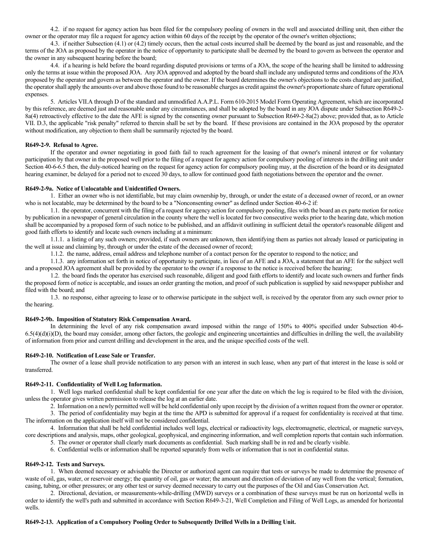4.2. if no request for agency action has been filed for the compulsory pooling of owners in the well and associated drilling unit, then either the owner or the operator may file a request for agency action within 60 days of the receipt by the operator of the owner's written objections;

4.3. if neither Subsection (4.1) or (4.2) timely occurs, then the actual costs incurred shall be deemed by the board as just and reasonable, and the terms of the JOA as proposed by the operator in the notice of opportunity to participate shall be deemed by the board to govern as between the operator and the owner in any subsequent hearing before the board;

4.4. if a hearing is held before the board regarding disputed provisions or terms of a JOA, the scope of the hearing shall be limited to addressing only the terms at issue within the proposed JOA. Any JOA approved and adopted by the board shall include any undisputed terms and conditions of the JOA proposed by the operator and govern as between the operator and the owner. If the board determines the owner's objections to the costs charged are justified, the operator shall apply the amounts over and above those found to be reasonable charges as credit against the owner's proportionate share of future operational expenses.

5. Articles VII.A through D of the standard and unmodified A.A.P.L. Form 610-2015 Model Form Operating Agreement, which are incorporated by this reference, are deemed just and reasonable under any circumstances, and shall be adopted by the board in any JOA dispute under Subsection R649-2- 8a(4) retroactively effective to the date the AFE is signed by the consenting owner pursuant to Subsection R649-2-8a(2) above; provided that, as to Article VII. D.3, the applicable "risk penalty" referred to therein shall be set by the board. If these provisions are contained in the JOA proposed by the operator without modification, any objection to them shall be summarily rejected by the board.

### **R649-2-9. Refusal to Agree.**

If the operator and owner negotiating in good faith fail to reach agreement for the leasing of that owner's mineral interest or for voluntary participation by that owner in the proposed well prior to the filing of a request for agency action for compulsory pooling of interests in the drilling unit under Section 40-6-6.5 then, the duly-noticed hearing on the request for agency action for compulsory pooling may, at the discretion of the board or its designated hearing examiner, be delayed for a period not to exceed 30 days, to allow for continued good faith negotiations between the operator and the owner.

# **R649-2-9a. Notice of Unlocatable and Unidentified Owners.**

1. Either an owner who is not identifiable, but may claim ownership by, through, or under the estate of a deceased owner of record, or an owner who is not locatable, may be determined by the board to be a "Nonconsenting owner" as defined under Section 40-6-2 if:

1.1. the operator, concurrent with the filing of a request for agency action for compulsory pooling, files with the board an ex parte motion for notice by publication in a newspaper of general circulation in the county where the well is located for two consecutive weeks prior to the hearing date, which motion shall be accompanied by a proposed form of such notice to be published, and an affidavit outlining in sufficient detail the operator's reasonable diligent and good faith efforts to identify and locate such owners including at a minimum:

1.1.1. a listing of any such owners; provided, if such owners are unknown, then identifying them as parties not already leased or participating in the well at issue and claiming by, through or under the estate of the deceased owner of record;

1.1.2. the name, address, email address and telephone number of a contact person for the operator to respond to the notice; and

1.1.3. any information set forth in notice of opportunity to participate, in lieu of an AFE and a JOA, a statement that an AFE for the subject well and a proposed JOA agreement shall be provided by the operator to the owner if a response to the notice is received before the hearing;

1.2. the board finds the operator has exercised such reasonable, diligent and good faith efforts to identify and locate such owners and further finds the proposed form of notice is acceptable, and issues an order granting the motion, and proof of such publication is supplied by said newspaper publisher and filed with the board; and

1.3. no response, either agreeing to lease or to otherwise participate in the subject well, is received by the operator from any such owner prior to the hearing.

### **R649-2-9b. Imposition of Statutory Risk Compensation Award.**

In determining the level of any risk compensation award imposed within the range of 150% to 400% specified under Subsection 40-6-  $6.5(4)(d)(i)(D)$ , the board may consider, among other factors, the geologic and engineering uncertainties and difficulties in drilling the well, the availability of information from prior and current drilling and development in the area, and the unique specified costs of the well.

### **R649-2-10. Notification of Lease Sale or Transfer.**

The owner of a lease shall provide notification to any person with an interest in such lease, when any part of that interest in the lease is sold or transferred.

### **R649-2-11. Confidentiality of Well Log Information.**

1. Well logs marked confidential shall be kept confidential for one year after the date on which the log is required to be filed with the division, unless the operator gives written permission to release the log at an earlier date.

2. Information on a newly permitted well will be held confidential only upon receipt by the division of a written request from the owner or operator.

3. The period of confidentiality may begin at the time the APD is submitted for approval if a request for confidentiality is received at that time. The information on the application itself will not be considered confidential.

4. Information that shall be held confidential includes well logs, electrical or radioactivity logs, electromagnetic, electrical, or magnetic surveys, core descriptions and analysis, maps, other geological, geophysical, and engineering information, and well completion reports that contain such information.

- 5. The owner or operator shall clearly mark documents as confidential. Such marking shall be in red and be clearly visible.
- 6. Confidential wells or information shall be reported separately from wells or information that is not in confidential status.

### **R649-2-12. Tests and Surveys.**

1. When deemed necessary or advisable the Director or authorized agent can require that tests or surveys be made to determine the presence of waste of oil, gas, water, or reservoir energy; the quantity of oil, gas or water; the amount and direction of deviation of any well from the vertical; formation, casing, tubing, or other pressures; or any other test or survey deemed necessary to carry out the purposes of the Oil and Gas Conservation Act.

2. Directional, deviation, or measurements-while-drilling (MWD) surveys or a combination of these surveys must be run on horizontal wells in order to identify the well's path and submitted in accordance with Section R649-3-21, Well Completion and Filing of Well Logs, as amended for horizontal wells.

### **R649-2-13. Application of a Compulsory Pooling Order to Subsequently Drilled Wells in a Drilling Unit.**